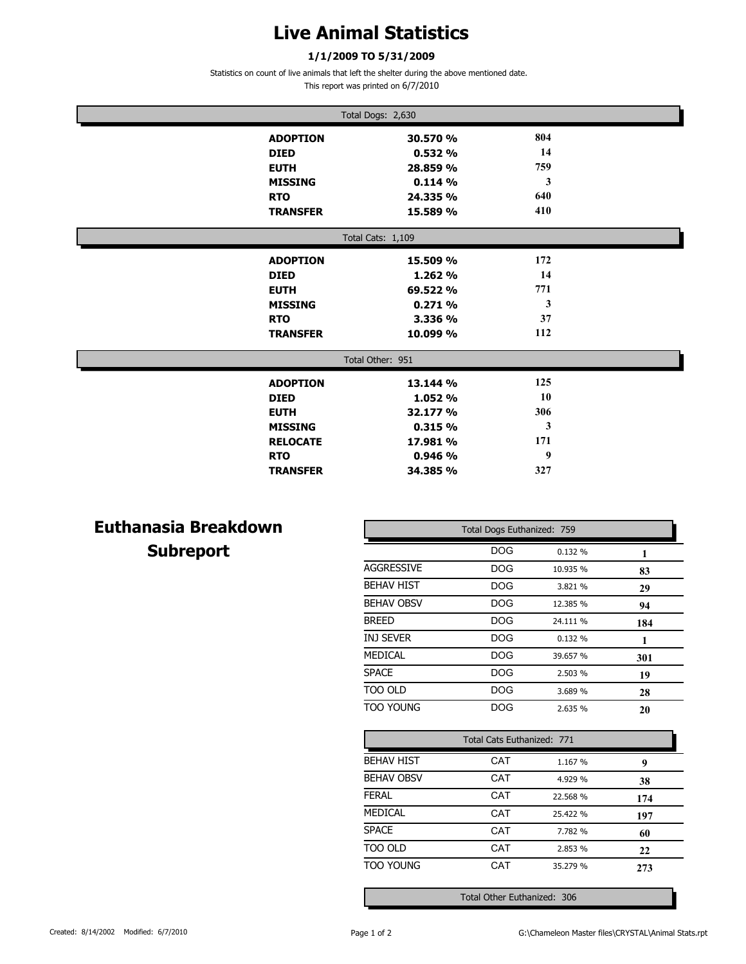## **Live Animal Statistics**

#### **1/1/2009 TO 5/31/2009**

Statistics on count of live animals that left the shelter during the above mentioned date.

This report was printed on 6/7/2010

| Total Dogs: 2,630 |                 |          |     |  |  |
|-------------------|-----------------|----------|-----|--|--|
|                   | <b>ADOPTION</b> | 30.570 % | 804 |  |  |
| <b>DIED</b>       |                 | 0.532%   | 14  |  |  |
| <b>EUTH</b>       |                 | 28.859 % | 759 |  |  |
|                   | <b>MISSING</b>  | 0.114%   | 3   |  |  |
| <b>RTO</b>        |                 | 24.335 % | 640 |  |  |
|                   | <b>TRANSFER</b> | 15.589 % | 410 |  |  |
| Total Cats: 1,109 |                 |          |     |  |  |
|                   | <b>ADOPTION</b> | 15.509 % | 172 |  |  |
| <b>DIED</b>       |                 | 1.262 %  | 14  |  |  |
| <b>EUTH</b>       |                 | 69.522 % | 771 |  |  |
|                   | <b>MISSING</b>  | 0.271%   | 3   |  |  |
| <b>RTO</b>        |                 | 3.336 %  | 37  |  |  |
|                   | <b>TRANSFER</b> | 10.099 % | 112 |  |  |
| Total Other: 951  |                 |          |     |  |  |
|                   | <b>ADOPTION</b> | 13.144 % | 125 |  |  |
| <b>DIED</b>       |                 | 1.052 %  | 10  |  |  |
| <b>EUTH</b>       |                 | 32.177 % | 306 |  |  |
|                   | <b>MISSING</b>  | 0.315%   | 3   |  |  |
|                   | <b>RELOCATE</b> | 17.981 % | 171 |  |  |
| <b>RTO</b>        |                 | 0.946%   | 9   |  |  |
|                   | <b>TRANSFER</b> | 34.385 % | 327 |  |  |

### **Euthanasia Breakdown Subreport**

| Total Dogs Euthanized: 759 |            |          |     |  |
|----------------------------|------------|----------|-----|--|
|                            | <b>DOG</b> | 0.132%   | 1   |  |
| <b>AGGRESSIVE</b>          | DOG        | 10.935 % | 83  |  |
| <b>BEHAV HIST</b>          | DOG        | 3.821 %  | 29  |  |
| <b>BEHAV OBSV</b>          | DOG        | 12.385 % | 94  |  |
| <b>BREED</b>               | DOG        | 24.111 % | 184 |  |
| <b>INJ SEVER</b>           | DOG        | 0.132%   | 1   |  |
| <b>MEDICAL</b>             | DOG        | 39.657 % | 301 |  |
| <b>SPACE</b>               | DOG        | 2.503 %  | 19  |  |
| TOO OLD                    | DOG        | 3.689 %  | 28  |  |
| <b>TOO YOUNG</b>           | <b>DOG</b> | 2.635%   | 20  |  |
| Total Cats Euthanized: 771 |            |          |     |  |

| Total Cats Euthanized: 771 |     |          |     |
|----------------------------|-----|----------|-----|
| <b>BEHAV HIST</b>          | CAT | 1.167 %  | 9   |
| <b>BEHAV OBSV</b>          | CAT | 4.929 %  | 38  |
| <b>FERAL</b>               | CAT | 22.568 % | 174 |
| MEDICAL                    | CAT | 25.422 % | 197 |
| <b>SPACE</b>               | CAT | 7.782 %  | 60  |
| TOO OLD                    | CAT | 2.853 %  | 22  |
| <b>TOO YOUNG</b>           | CAT | 35.279 % | 273 |

Total Other Euthanized: 306